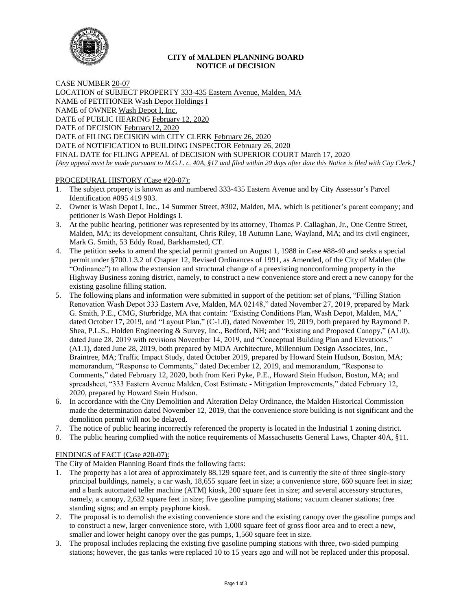

### **CITY of MALDEN PLANNING BOARD NOTICE of DECISION**

CASE NUMBER 20-07 LOCATION of SUBJECT PROPERTY 333-435 Eastern Avenue, Malden, MA NAME of PETITIONER Wash Depot Holdings I NAME of OWNER Wash Depot I, Inc. DATE of PUBLIC HEARING February 12, 2020 DATE of DECISION February12, 2020 DATE of FILING DECISION with CITY CLERK February 26, 2020 DATE of NOTIFICATION to BUILDING INSPECTOR February 26, 2020 FINAL DATE for FILING APPEAL of DECISION with SUPERIOR COURT March 17, 2020 *[Any appeal must be made pursuant to M.G.L. c. 40A, §17 and filed within 20 days after date this Notice is filed with City Clerk.]* 

# PROCEDURAL HISTORY (Case #20-07):

- 1. The subject property is known as and numbered 333-435 Eastern Avenue and by City Assessor's Parcel Identification #095 419 903.
- 2. Owner is Wash Depot I, Inc., 14 Summer Street, #302, Malden, MA, which is petitioner's parent company; and petitioner is Wash Depot Holdings I.
- 3. At the public hearing, petitioner was represented by its attorney, Thomas P. Callaghan, Jr., One Centre Street, Malden, MA; its development consultant, Chris Riley, 18 Autumn Lane, Wayland, MA; and its civil engineer, Mark G. Smith, 53 Eddy Road, Barkhamsted, CT.
- 4. The petition seeks to amend the special permit granted on August 1, 1988 in Case #88-40 and seeks a special permit under §700.1.3.2 of Chapter 12, Revised Ordinances of 1991, as Amended, of the City of Malden (the "Ordinance") to allow the extension and structural change of a preexisting nonconforming property in the Highway Business zoning district, namely, to construct a new convenience store and erect a new canopy for the existing gasoline filling station.
- 5. The following plans and information were submitted in support of the petition: set of plans, "Filling Station Renovation Wash Depot 333 Eastern Ave, Malden, MA 02148," dated November 27, 2019, prepared by Mark G. Smith, P.E., CMG, Sturbridge, MA that contain: "Existing Conditions Plan, Wash Depot, Malden, MA," dated October 17, 2019, and "Layout Plan," (C-1.0), dated November 19, 2019, both prepared by Raymond P. Shea, P.L.S., Holden Engineering & Survey, Inc., Bedford, NH; and "Existing and Proposed Canopy," (A1.0), dated June 28, 2019 with revisions November 14, 2019, and "Conceptual Building Plan and Elevations," (A1.1), dated June 28, 2019, both prepared by MDA Architecture, Millennium Design Associates, Inc., Braintree, MA; Traffic Impact Study, dated October 2019, prepared by Howard Stein Hudson, Boston, MA; memorandum, "Response to Comments," dated December 12, 2019, and memorandum, "Response to Comments," dated February 12, 2020, both from Keri Pyke, P.E., Howard Stein Hudson, Boston, MA; and spreadsheet, "333 Eastern Avenue Malden, Cost Estimate - Mitigation Improvements," dated February 12, 2020, prepared by Howard Stein Hudson.
- 6. In accordance with the City Demolition and Alteration Delay Ordinance, the Malden Historical Commission made the determination dated November 12, 2019, that the convenience store building is not significant and the demolition permit will not be delayed.
- 7. The notice of public hearing incorrectly referenced the property is located in the Industrial 1 zoning district.
- 8. The public hearing complied with the notice requirements of Massachusetts General Laws, Chapter 40A, §11.

# FINDINGS of FACT (Case #20-07):

The City of Malden Planning Board finds the following facts:

- 1. The property has a lot area of approximately 88,129 square feet, and is currently the site of three single-story principal buildings, namely, a car wash, 18,655 square feet in size; a convenience store, 660 square feet in size; and a bank automated teller machine (ATM) kiosk, 200 square feet in size; and several accessory structures, namely, a canopy, 2,632 square feet in size; five gasoline pumping stations; vacuum cleaner stations; free standing signs; and an empty payphone kiosk.
- 2. The proposal is to demolish the existing convenience store and the existing canopy over the gasoline pumps and to construct a new, larger convenience store, with 1,000 square feet of gross floor area and to erect a new, smaller and lower height canopy over the gas pumps, 1,560 square feet in size.
- 3. The proposal includes replacing the existing five gasoline pumping stations with three, two-sided pumping stations; however, the gas tanks were replaced 10 to 15 years ago and will not be replaced under this proposal.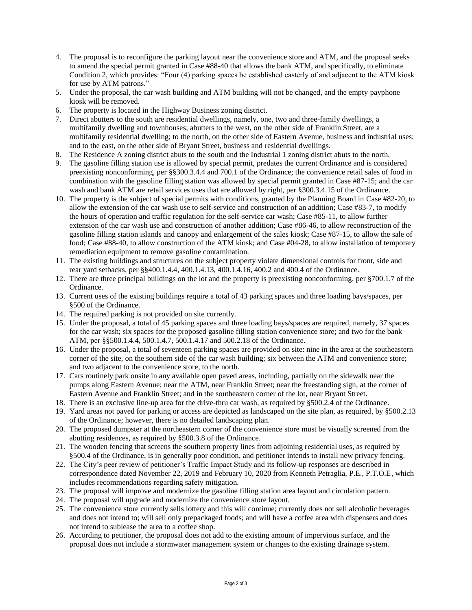- 4. The proposal is to reconfigure the parking layout near the convenience store and ATM, and the proposal seeks to amend the special permit granted in Case #88-40 that allows the bank ATM, and specifically, to eliminate Condition 2, which provides: "Four (4) parking spaces be established easterly of and adjacent to the ATM kiosk for use by ATM patrons."
- 5. Under the proposal, the car wash building and ATM building will not be changed, and the empty payphone kiosk will be removed.
- 6. The property is located in the Highway Business zoning district.
- 7. Direct abutters to the south are residential dwellings, namely, one, two and three-family dwellings, a multifamily dwelling and townhouses; abutters to the west, on the other side of Franklin Street, are a multifamily residential dwelling; to the north, on the other side of Eastern Avenue, business and industrial uses; and to the east, on the other side of Bryant Street, business and residential dwellings.
- 8. The Residence A zoning district abuts to the south and the Industrial 1 zoning district abuts to the north.
- 9. The gasoline filling station use is allowed by special permit, predates the current Ordinance and is considered preexisting nonconforming, per §§300.3.4.4 and 700.1 of the Ordinance; the convenience retail sales of food in combination with the gasoline filling station was allowed by special permit granted in Case #87-15; and the car wash and bank ATM are retail services uses that are allowed by right, per §300.3.4.15 of the Ordinance.
- 10. The property is the subject of special permits with conditions, granted by the Planning Board in Case #82-20, to allow the extension of the car wash use to self-service and construction of an addition; Case #83-7, to modify the hours of operation and traffic regulation for the self-service car wash; Case #85-11, to allow further extension of the car wash use and construction of another addition; Case #86-46, to allow reconstruction of the gasoline filling station islands and canopy and enlargement of the sales kiosk; Case #87-15, to allow the sale of food; Case #88-40, to allow construction of the ATM kiosk; and Case #04-28, to allow installation of temporary remediation equipment to remove gasoline contamination.
- 11. The existing buildings and structures on the subject property violate dimensional controls for front, side and rear yard setbacks, per §§400.1.4.4, 400.1.4.13, 400.1.4.16, 400.2 and 400.4 of the Ordinance.
- 12. There are three principal buildings on the lot and the property is preexisting nonconforming, per §700.1.7 of the Ordinance.
- 13. Current uses of the existing buildings require a total of 43 parking spaces and three loading bays/spaces, per §500 of the Ordinance.
- 14. The required parking is not provided on site currently.
- 15. Under the proposal, a total of 45 parking spaces and three loading bays/spaces are required, namely, 37 spaces for the car wash; six spaces for the proposed gasoline filling station convenience store; and two for the bank ATM, per §§500.1.4.4, 500.1.4.7, 500.1.4.17 and 500.2.18 of the Ordinance.
- 16. Under the proposal, a total of seventeen parking spaces are provided on site: nine in the area at the southeastern corner of the site, on the southern side of the car wash building; six between the ATM and convenience store; and two adjacent to the convenience store, to the north.
- 17. Cars routinely park onsite in any available open paved areas, including, partially on the sidewalk near the pumps along Eastern Avenue; near the ATM, near Franklin Street; near the freestanding sign, at the corner of Eastern Avenue and Franklin Street; and in the southeastern corner of the lot, near Bryant Street.
- 18. There is an exclusive line-up area for the drive-thru car wash, as required by §500.2.4 of the Ordinance.
- 19. Yard areas not paved for parking or access are depicted as landscaped on the site plan, as required, by §500.2.13 of the Ordinance; however, there is no detailed landscaping plan.
- 20. The proposed dumpster at the northeastern corner of the convenience store must be visually screened from the abutting residences, as required by §500.3.8 of the Ordinance.
- 21. The wooden fencing that screens the southern property lines from adjoining residential uses, as required by §500.4 of the Ordinance, is in generally poor condition, and petitioner intends to install new privacy fencing.
- 22. The City's peer review of petitioner's Traffic Impact Study and its follow-up responses are described in correspondence dated November 22, 2019 and February 10, 2020 from Kenneth Petraglia, P.E., P.T.O.E, which includes recommendations regarding safety mitigation.
- 23. The proposal will improve and modernize the gasoline filling station area layout and circulation pattern.
- 24. The proposal will upgrade and modernize the convenience store layout.
- 25. The convenience store currently sells lottery and this will continue; currently does not sell alcoholic beverages and does not intend to; will sell only prepackaged foods; and will have a coffee area with dispensers and does not intend to sublease the area to a coffee shop.
- 26. According to petitioner, the proposal does not add to the existing amount of impervious surface, and the proposal does not include a stormwater management system or changes to the existing drainage system.